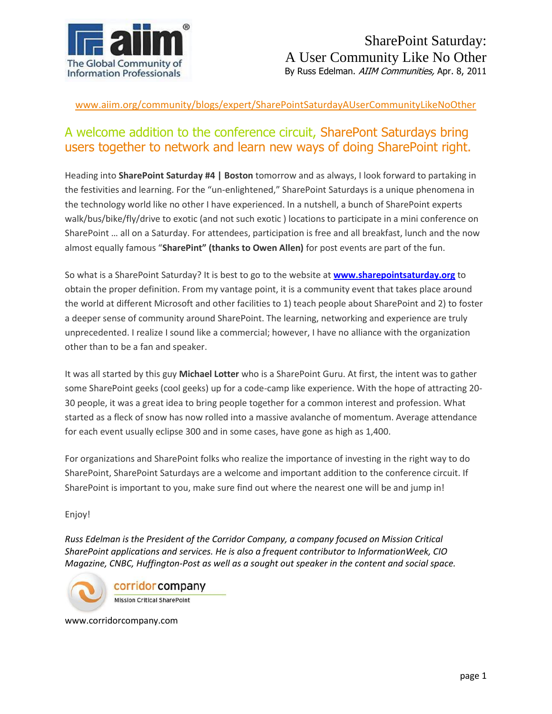

www.aiim.org/community/blogs/expert/SharePointSaturdayAUserCommunityLikeNoOther

## A welcome addition to the conference circuit, SharePont Saturdays bring users together to network and learn new ways of doing SharePoint right.

Heading into **SharePoint Saturday #4 | Boston** tomorrow and as always, I look forward to partaking in the festivities and learning. For the "un-enlightened," SharePoint Saturdays is a unique phenomena in the technology world like no other I have experienced. In a nutshell, a bunch of SharePoint experts walk/bus/bike/fly/drive to exotic (and not such exotic ) locations to participate in a mini conference on SharePoint … all on a Saturday. For attendees, participation is free and all breakfast, lunch and the now almost equally famous "**SharePint" (thanks to Owen Allen)** for post events are part of the fun.

So what is a SharePoint Saturday? It is best to go to the website at **[www.sharepointsaturday.org](http://www.sharepointsaturday.org/)** to obtain the proper definition. From my vantage point, it is a community event that takes place around the world at different Microsoft and other facilities to 1) teach people about SharePoint and 2) to foster a deeper sense of community around SharePoint. The learning, networking and experience are truly unprecedented. I realize I sound like a commercial; however, I have no alliance with the organization other than to be a fan and speaker.

It was all started by this guy **Michael Lotter** who is a SharePoint Guru. At first, the intent was to gather some SharePoint geeks (cool geeks) up for a code-camp like experience. With the hope of attracting 20- 30 people, it was a great idea to bring people together for a common interest and profession. What started as a fleck of snow has now rolled into a massive avalanche of momentum. Average attendance for each event usually eclipse 300 and in some cases, have gone as high as 1,400.

For organizations and SharePoint folks who realize the importance of investing in the right way to do SharePoint, SharePoint Saturdays are a welcome and important addition to the conference circuit. If SharePoint is important to you, make sure find out where the nearest one will be and jump in!

## Enjoy!

*Russ Edelman is the President of the Corridor Company, a company focused on Mission Critical SharePoint applications and services. He is also a frequent contributor to InformationWeek, CIO Magazine, CNBC, Huffington-Post as well as a sought out speaker in the content and social space.*



www.corridorcompany.com